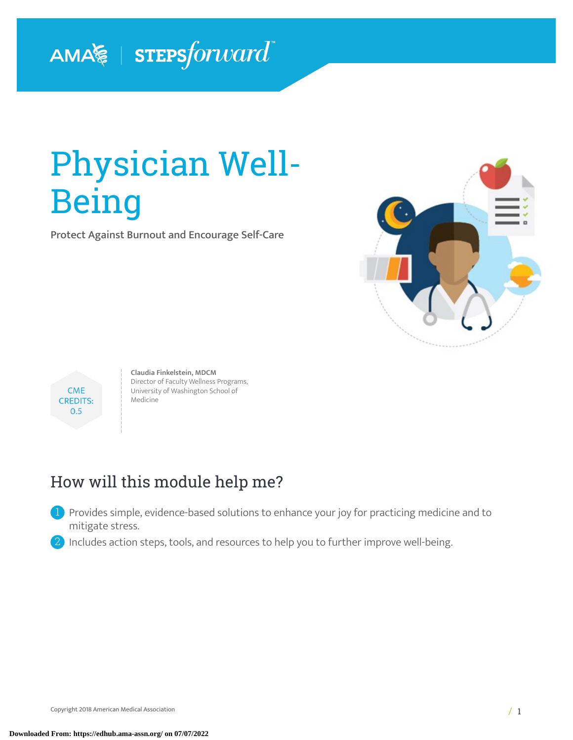# AMA FIEPSforward

# Physician Well-Being

Protect Against Burnout and Encourage Self-Care





**Claudia Finkelstein, MDCM** Director of Faculty Wellness Programs, University of Washington School of **Medicine** 

# How will this module help me?

<sup>1</sup> Provides simple, evidence-based solutions to enhance your joy for practicing medicine and to mitigate stress.

2 Includes action steps, tools, and resources to help you to further improve well-being.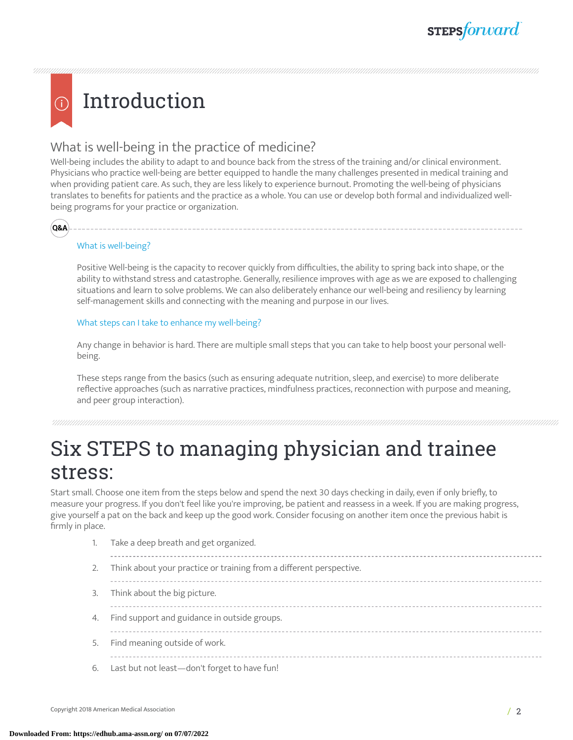# Introduction

### What is well-being in the practice of medicine?

Well-being includes the ability to adapt to and bounce back from the stress of the training and/or clinical environment. Physicians who practice well-being are better equipped to handle the many challenges presented in medical training and when providing patient care. As such, they are less likely to experience burnout. Promoting the well-being of physicians translates to benefits for patients and the practice as a whole. You can use or develop both formal and individualized wellbeing programs for your practice or organization.



### What is well-being?

Positive Well-being is the capacity to recover quickly from difficulties, the ability to spring back into shape, or the ability to withstand stress and catastrophe. Generally, resilience improves with age as we are exposed to challenging situations and learn to solve problems. We can also deliberately enhance our well-being and resiliency by learning self-management skills and connecting with the meaning and purpose in our lives.

### What steps can I take to enhance my well-being?

1. Take a deep breath and get organized.

Any change in behavior is hard. There are multiple small steps that you can take to help boost your personal wellbeing.

These steps range from the basics (such as ensuring adequate nutrition, sleep, and exercise) to more deliberate reflective approaches (such as narrative practices, mindfulness practices, reconnection with purpose and meaning, and peer group interaction).

# Six STEPS to managing physician and trainee stress:

Start small. Choose one item from the steps below and spend the next 30 days checking in daily, even if only briefly, to measure your progress. If you don't feel like you're improving, be patient and reassess in a week. If you are making progress, give yourself a pat on the back and keep up the good work. Consider focusing on another item once the previous habit is firmly in place.

|    | i. Také a uccip bi catri and get organized.                         |
|----|---------------------------------------------------------------------|
| 2. | Think about your practice or training from a different perspective. |
| 3. | Think about the big picture.                                        |
| 4. | Find support and guidance in outside groups.                        |
| 5. | Find meaning outside of work.                                       |
| 6. | Last but not least-don't forget to have fun!                        |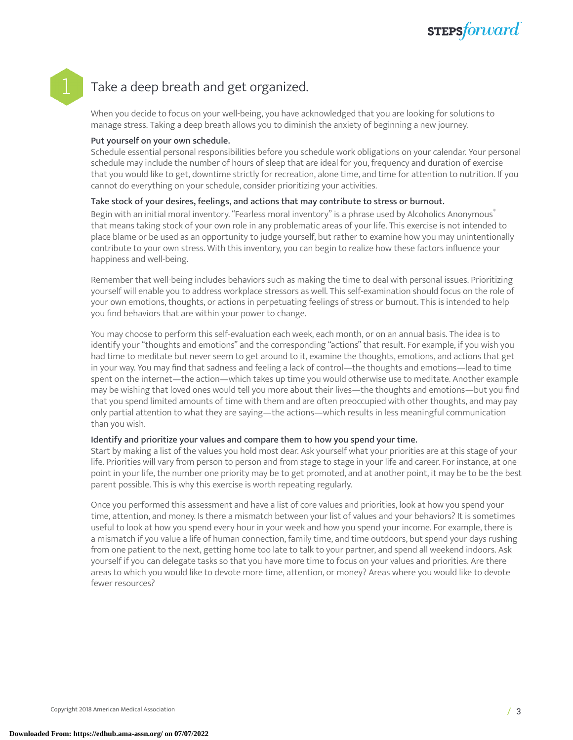# **STEPS**forward

### Take a deep breath and get organized.

When you decide to focus on your well-being, you have acknowledged that you are looking for solutions to manage stress. Taking a deep breath allows you to diminish the anxiety of beginning a new journey.

### Put yourself on your own schedule.

Schedule essential personal responsibilities before you schedule work obligations on your calendar. Your personal schedule may include the number of hours of sleep that are ideal for you, frequency and duration of exercise that you would like to get, downtime strictly for recreation, alone time, and time for attention to nutrition. If you cannot do everything on your schedule, consider prioritizing your activities.

### Take stock of your desires, feelings, and actions that may contribute to stress or burnout.

Begin with an initial moral inventory. "Fearless moral inventory" is a phrase used by Alcoholics Anonymous ® that means taking stock of your own role in any problematic areas of your life. This exercise is not intended to place blame or be used as an opportunity to judge yourself, but rather to examine how you may unintentionally contribute to your own stress. With this inventory, you can begin to realize how these factors influence your happiness and well-being.

Remember that well-being includes behaviors such as making the time to deal with personal issues. Prioritizing yourself will enable you to address workplace stressors as well. This self-examination should focus on the role of your own emotions, thoughts, or actions in perpetuating feelings of stress or burnout. This is intended to help you find behaviors that are within your power to change.

You may choose to perform this self-evaluation each week, each month, or on an annual basis. The idea is to identify your "thoughts and emotions" and the corresponding "actions" that result. For example, if you wish you had time to meditate but never seem to get around to it, examine the thoughts, emotions, and actions that get in your way. You may find that sadness and feeling a lack of control—the thoughts and emotions—lead to time spent on the internet—the action—which takes up time you would otherwise use to meditate. Another example may be wishing that loved ones would tell you more about their lives—the thoughts and emotions—but you find that you spend limited amounts of time with them and are often preoccupied with other thoughts, and may pay only partial attention to what they are saying—the actions—which results in less meaningful communication than you wish.

### Identify and prioritize your values and compare them to how you spend your time.

Start by making a list of the values you hold most dear. Ask yourself what your priorities are at this stage of your life. Priorities will vary from person to person and from stage to stage in your life and career. For instance, at one point in your life, the number one priority may be to get promoted, and at another point, it may be to be the best parent possible. This is why this exercise is worth repeating regularly.

Once you performed this assessment and have a list of core values and priorities, look at how you spend your time, attention, and money. Is there a mismatch between your list of values and your behaviors? It is sometimes useful to look at how you spend every hour in your week and how you spend your income. For example, there is a mismatch if you value a life of human connection, family time, and time outdoors, but spend your days rushing from one patient to the next, getting home too late to talk to your partner, and spend all weekend indoors. Ask yourself if you can delegate tasks so that you have more time to focus on your values and priorities. Are there areas to which you would like to devote more time, attention, or money? Areas where you would like to devote fewer resources?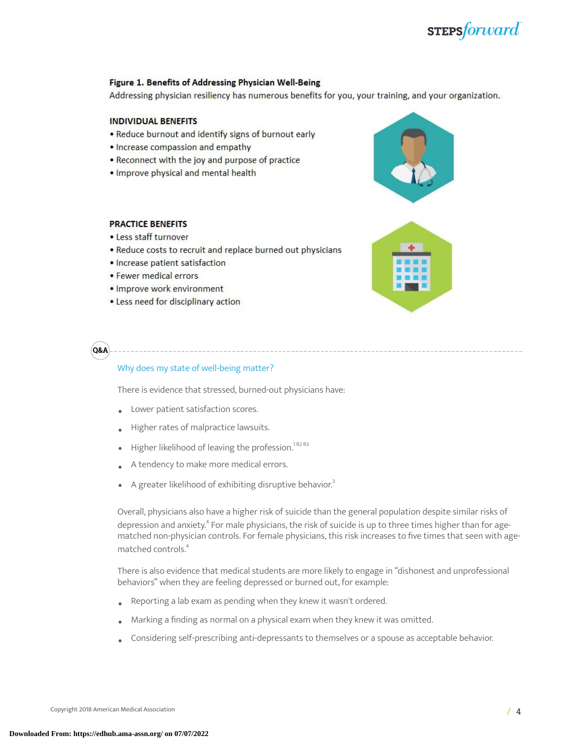## **STEPS**forward

### Figure 1. Benefits of Addressing Physician Well-Being

Addressing physician resiliency has numerous benefits for you, your training, and your organization.

### **INDIVIDUAL BENEFITS**

- Reduce burnout and identify signs of burnout early
- Increase compassion and empathy
- Reconnect with the joy and purpose of practice
- . Improve physical and mental health

### **PRACTICE BENEFITS**

- Less staff turnover
- Reduce costs to recruit and replace burned out physicians
- · Increase patient satisfaction
- Fewer medical errors
- Improve work environment
- Less need for disciplinary action

**Q&A**

### Why does my state of well-being matter?

There is evidence that stressed, burned-out physicians have:

- Lower patient satisfaction scores.
- Higher rates of malpractice lawsuits.
- $\bullet$  Higher likelihood of leaving the profession.<sup>1R2R3</sup>
- A tendency to make more medical errors.
- A greater likelihood of exhibiting disruptive behavior. [3](#page-15-0)

Overall, physicians also have a higher risk of suicide than the general population despite similar risks of depression and anxiety.<sup>[4](#page-15-1)</sup> For male physicians, the risk of suicide is up to three times higher than for agematched non-physician controls. For female physicians, this risk increases to five times that seen with agematched controls. [4](#page-15-1)

There is also evidence that medical students are more likely to engage in "dishonest and unprofessional behaviors" when they are feeling depressed or burned out, for example:

- Reporting a lab exam as pending when they knew it wasn't ordered.
- Marking <sup>a</sup> finding as normal on <sup>a</sup> physical exam when they knew it was omitted.
- Considering self-prescribing anti-depressants to themselves or a spouse as acceptable behavior.





Copyright 2018 American Medical Association  $\vert$  4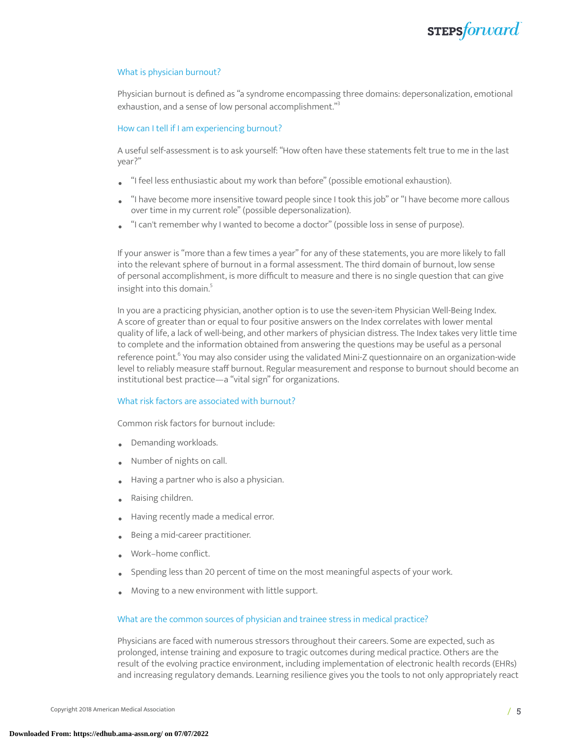

#### What is physician burnout?

Physician burnout is defined as "a syndrome encompassing three domains: depersonalization, emotional exhaustion, and a sense of low personal accomplishment."<sup>[3](#page-15-0)</sup>

#### How can I tell if I am experiencing burnout?

A useful self-assessment is to ask yourself: "How often have these statements felt true to me in the last year?"

- "I feel less enthusiastic about my work than before" (possible emotional exhaustion).
- "I have become more insensitive toward people since I took this job" or "I have become more callous over time in my current role" (possible depersonalization).
- "I can't remember why I wanted to become a doctor" (possible loss in sense of purpose).

If your answer is "more than a few times a year" for any of these statements, you are more likely to fall into the relevant sphere of burnout in a formal assessment. The third domain of burnout, low sense of personal accomplishment, is more difficult to measure and there is no single question that can give insight into this domain.<sup>[5](#page-15-2)</sup>

In you are a practicing physician, another option is to use the seven-item Physician Well-Being Index. A score of greater than or equal to four positive answers on the Index correlates with lower mental quality of life, a lack of well-being, and other markers of physician distress. The Index takes very little time to complete and the information obtained from answering the questions may be useful as a personal reference point. [6](#page-15-3) You may also consider using the validated Mini-Z questionnaire on an organization-wide level to reliably measure staff burnout. Regular measurement and response to burnout should become an institutional best practice—a "vital sign" for organizations.

#### What risk factors are associated with burnout?

Common risk factors for burnout include:

- Demanding workloads.
- Number of nights on call.
- Having a partner who is also a physician.
- Raising children.
- Having recently made a medical error.
- Being a mid-career practitioner.
- Work–home conflict.
- Spending less than 20 percent of time on the most meaningful aspects of your work.
- Moving to <sup>a</sup> new environment with little support.

#### What are the common sources of physician and trainee stress in medical practice?

Physicians are faced with numerous stressors throughout their careers. Some are expected, such as prolonged, intense training and exposure to tragic outcomes during medical practice. Others are the result of the evolving practice environment, including implementation of electronic health records (EHRs) and increasing regulatory demands. Learning resilience gives you the tools to not only appropriately react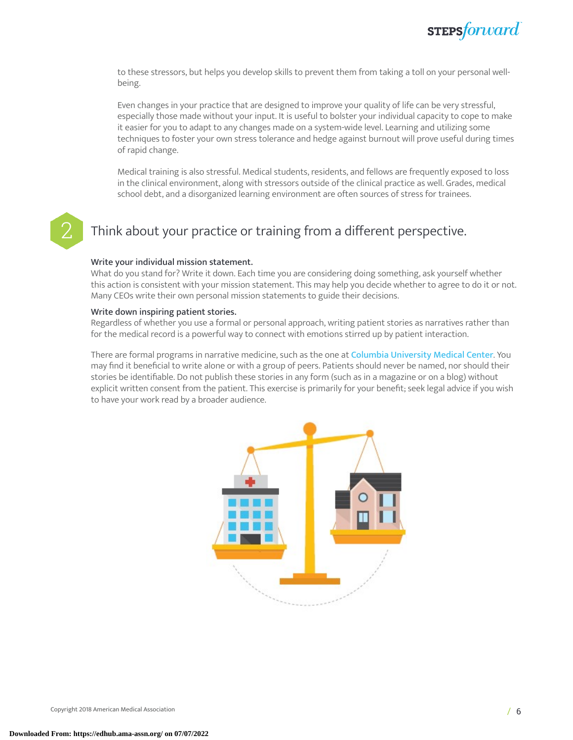to these stressors, but helps you develop skills to prevent them from taking a toll on your personal wellbeing.

Even changes in your practice that are designed to improve your quality of life can be very stressful, especially those made without your input. It is useful to bolster your individual capacity to cope to make it easier for you to adapt to any changes made on a system-wide level. Learning and utilizing some techniques to foster your own stress tolerance and hedge against burnout will prove useful during times of rapid change.

Medical training is also stressful. Medical students, residents, and fellows are frequently exposed to loss in the clinical environment, along with stressors outside of the clinical practice as well. Grades, medical school debt, and a disorganized learning environment are often sources of stress for trainees.

### Think about your practice or training from a different perspective.

### Write your individual mission statement.

What do you stand for? Write it down. Each time you are considering doing something, ask yourself whether this action is consistent with your mission statement. This may help you decide whether to agree to do it or not. Many CEOs write their own personal mission statements to guide their decisions.

### Write down inspiring patient stories.

Regardless of whether you use a formal or personal approach, writing patient stories as narratives rather than for the medical record is a powerful way to connect with emotions stirred up by patient interaction.

There are formal programs in narrative medicine, such as the one at Columbia [University](http://www.narrativemedicine.org/) Medical Center. You may find it beneficial to write alone or with a group of peers. Patients should never be named, nor should their stories be identifiable. Do not publish these stories in any form (such as in a magazine or on a blog) without explicit written consent from the patient. This exercise is primarily for your benefit; seek legal advice if you wish to have your work read by a broader audience.

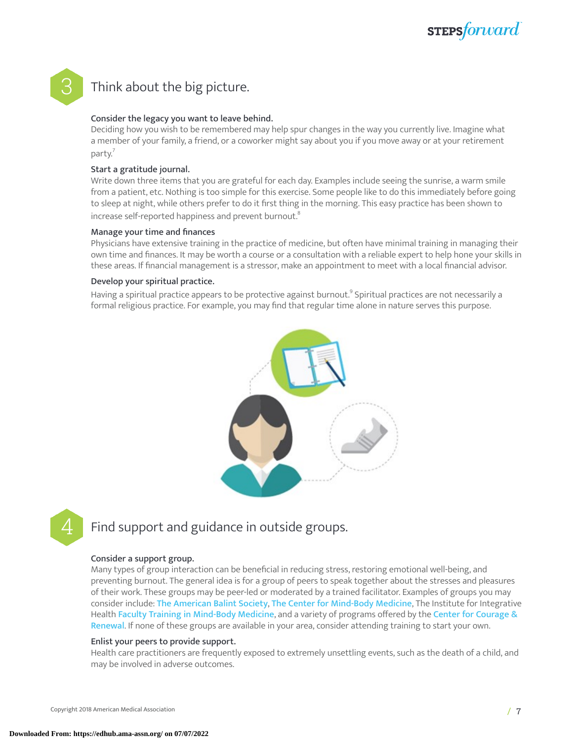

### Think about the big picture.

### Consider the legacy you want to leave behind.

Deciding how you wish to be remembered may help spur changes in the way you currently live. Imagine what a member of your family, a friend, or a coworker might say about you if you move away or at your retirement party.<sup>[7](#page-15-4)</sup>

### Start a gratitude journal.

Write down three items that you are grateful for each day. Examples include seeing the sunrise, a warm smile from a patient, etc. Nothing is too simple for this exercise. Some people like to do this immediately before going to sleep at night, while others prefer to do it first thing in the morning. This easy practice has been shown to increase self-reported happiness and prevent burnout. $^{\mathrm{s}}$ 

### Manage your time and finances

Physicians have extensive training in the practice of medicine, but often have minimal training in managing their own time and finances. It may be worth a course or a consultation with a reliable expert to help hone your skills in these areas. If financial management is a stressor, make an appointment to meet with a local financial advisor.

### Develop your spiritual practice.

Having a spiritual practice appears to be protective against burnout. [9](#page-15-6) Spiritual practices are not necessarily a formal religious practice. For example, you may find that regular time alone in nature serves this purpose.



### Find support and guidance in outside groups.

### Consider a support group.

Many types of group interaction can be beneficial in reducing stress, restoring emotional well-being, and preventing burnout. The general idea is for a group of peers to speak together about the stresses and pleasures of their work. These groups may be peer-led or moderated by a trained facilitator. Examples of groups you may consider include: The [American](https://www.americanbalintsociety.org/) Balint Society, The Center for [Mind-Body](https://cmbm.org/) Medicine, The Institute for Integrative Health Faculty Training in [Mind-Body](https://tiih.org/what-we-do/train-professionals/mind-body-medicine/) Medicine, and a variety of programs offered by the Center for [Courage](http://www.couragerenewal.org/) & [Renewal](http://www.couragerenewal.org/). If none of these groups are available in your area, consider attending training to start your own.

### Enlist your peers to provide support.

Health care practitioners are frequently exposed to extremely unsettling events, such as the death of a child, and may be involved in adverse outcomes.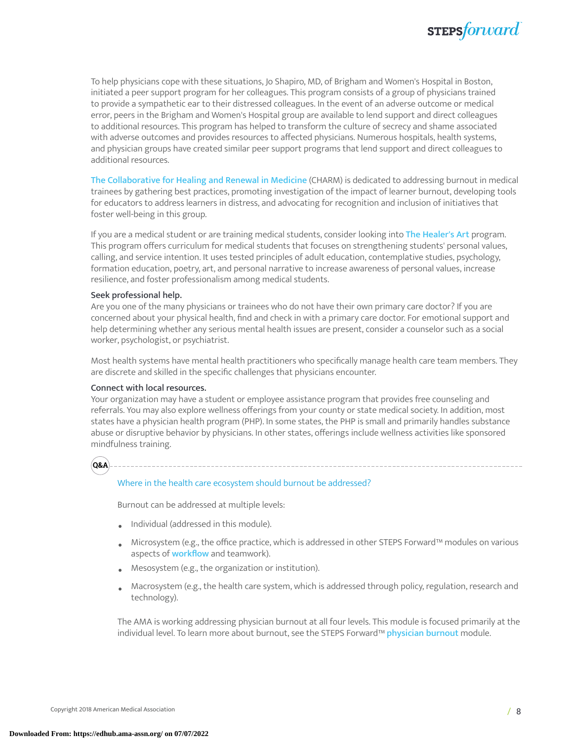

To help physicians cope with these situations, Jo Shapiro, MD, of Brigham and Women's Hospital in Boston, initiated a peer support program for her colleagues. This program consists of a group of physicians trained to provide a sympathetic ear to their distressed colleagues. In the event of an adverse outcome or medical error, peers in the Brigham and Women's Hospital group are available to lend support and direct colleagues to additional resources. This program has helped to transform the culture of secrecy and shame associated with adverse outcomes and provides resources to affected physicians. Numerous hospitals, health systems, and physician groups have created similar peer support programs that lend support and direct colleagues to additional resources.

The [Collaborative](https://www.im.org/resources/wellness-resiliency/charm) for Healing and Renewal in Medicine (CHARM) is dedicated to addressing burnout in medical trainees by gathering best practices, promoting investigation of the impact of learner burnout, developing tools for educators to address learners in distress, and advocating for recognition and inclusion of initiatives that foster well-being in this group.

If you are a medical student or are training medical students, consider looking into The [Healer's](http://www.rachelremen.com/learn/medical-education-work/the-healers-art/) Art program. This program offers curriculum for medical students that focuses on strengthening students' personal values, calling, and service intention. It uses tested principles of adult education, contemplative studies, psychology, formation education, poetry, art, and personal narrative to increase awareness of personal values, increase resilience, and foster professionalism among medical students.

#### Seek professional help.

Are you one of the many physicians or trainees who do not have their own primary care doctor? If you are concerned about your physical health, find and check in with a primary care doctor. For emotional support and help determining whether any serious mental health issues are present, consider a counselor such as a social worker, psychologist, or psychiatrist.

Most health systems have mental health practitioners who specifically manage health care team members. They are discrete and skilled in the specific challenges that physicians encounter.

#### Connect with local resources.

Your organization may have a student or employee assistance program that provides free counseling and referrals. You may also explore wellness offerings from your county or state medical society. In addition, most states have a physician health program (PHP). In some states, the PHP is small and primarily handles substance abuse or disruptive behavior by physicians. In other states, offerings include wellness activities like sponsored mindfulness training.

**Q&A**

#### Where in the health care ecosystem should burnout be addressed?

Burnout can be addressed at multiple levels:

- Individual (addressed in this module).
- Microsystem (e.g., the office practice, which is addressed in other STEPS Forward™ modules on various aspects of **[workflow](https://edhub.ama-assn.org/steps-forward/pages/workflow-and-process)** and teamwork).
- Mesosystem (e.g., the organization or institution).
- Macrosystem (e.g., the health care system, which is addressed through policy, regulation, research and technology).

The AMA is working addressing physician burnout at all four levels. This module is focused primarily at the individual level. To learn more about burnout, see the STEPS Forward™ [physician](https://edhub.ama-assn.org/steps-forward/module/2702509) burnout module.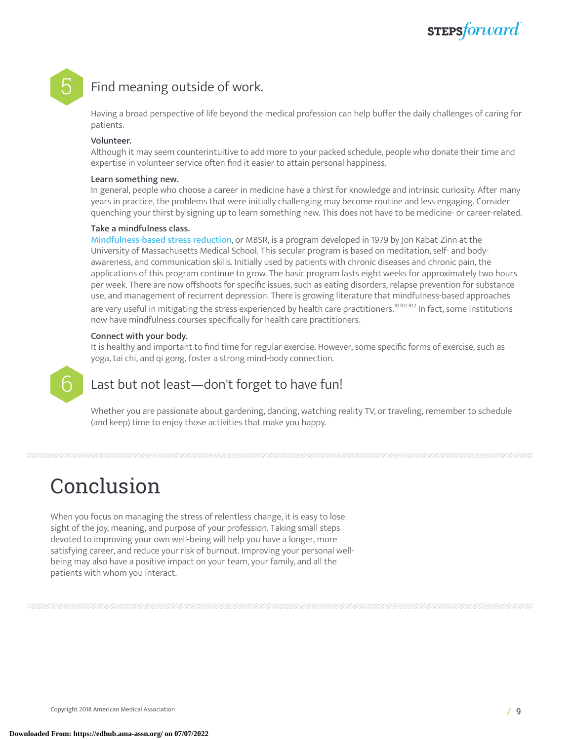# **STEPS**forward

### Find meaning outside of work.

Having a broad perspective of life beyond the medical profession can help buffer the daily challenges of caring for patients.

#### Volunteer.

Although it may seem counterintuitive to add more to your packed schedule, people who donate their time and expertise in volunteer service often find it easier to attain personal happiness.

#### Learn something new.

In general, people who choose a career in medicine have a thirst for knowledge and intrinsic curiosity. After many years in practice, the problems that were initially challenging may become routine and less engaging. Consider quenching your thirst by signing up to learn something new. This does not have to be medicine- or career-related.

### Take a mindfulness class.

[Mindfulness-based](http://www.umassmed.edu/cfm/Stress-Reduction/) stress reduction, or MBSR, is a program developed in 1979 by Jon Kabat-Zinn at the University of Massachusetts Medical School. This secular program is based on meditation, self- and bodyawareness, and communication skills. Initially used by patients with chronic diseases and chronic pain, the applications of this program continue to grow. The basic program lasts eight weeks for approximately two hours per week. There are now offshoots for specific issues, such as eating disorders, relapse prevention for substance use, and management of recurrent depression. There is growing literature that mindfulness-based approaches are very useful in mitigating the stress experienced by health care practitioners.<sup>10 R11 R12</sup> In fact, some institutions now have mindfulness courses specifically for health care practitioners.

### Connect with your body.

It is healthy and important to find time for regular exercise. However, some specific forms of exercise, such as yoga, tai chi, and qi gong, foster a strong mind-body connection.

### **6** Last but not least—don't forget to have fun!

Whether you are passionate about gardening, dancing, watching reality TV, or traveling, remember to schedule (and keep) time to enjoy those activities that make you happy.

# Conclusion

When you focus on managing the stress of relentless change, it is easy to lose sight of the joy, meaning, and purpose of your profession. Taking small steps devoted to improving your own well-being will help you have a longer, more satisfying career, and reduce your risk of burnout. Improving your personal wellbeing may also have a positive impact on your team, your family, and all the patients with whom you interact.

Copyright 2018 American Medical Association / 9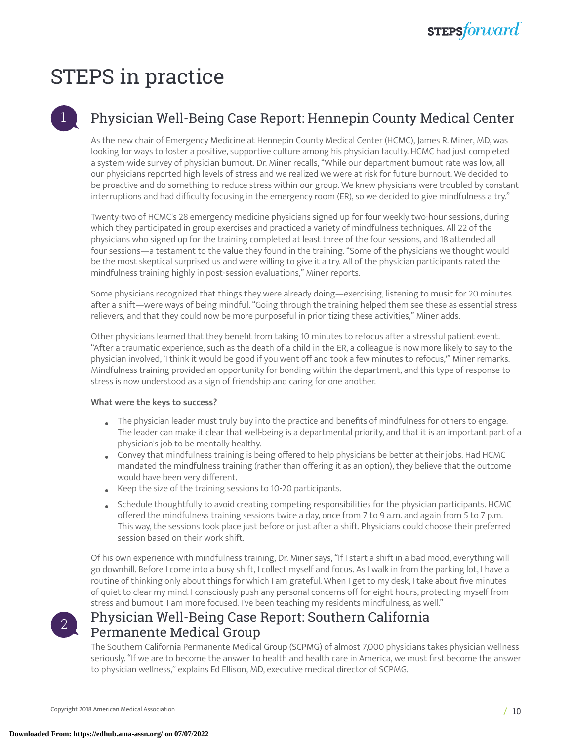# STEPS in practice

### 1 Physician Well-Being Case Report: Hennepin County Medical Center

As the new chair of Emergency Medicine at Hennepin County Medical Center (HCMC), James R. Miner, MD, was looking for ways to foster a positive, supportive culture among his physician faculty. HCMC had just completed a system-wide survey of physician burnout. Dr. Miner recalls, "While our department burnout rate was low, all our physicians reported high levels of stress and we realized we were at risk for future burnout. We decided to be proactive and do something to reduce stress within our group. We knew physicians were troubled by constant interruptions and had difficulty focusing in the emergency room (ER), so we decided to give mindfulness a try."

Twenty-two of HCMC's 28 emergency medicine physicians signed up for four weekly two-hour sessions, during which they participated in group exercises and practiced a variety of mindfulness techniques. All 22 of the physicians who signed up for the training completed at least three of the four sessions, and 18 attended all four sessions—a testament to the value they found in the training. "Some of the physicians we thought would be the most skeptical surprised us and were willing to give it a try. All of the physician participants rated the mindfulness training highly in post-session evaluations," Miner reports.

Some physicians recognized that things they were already doing—exercising, listening to music for 20 minutes after a shift—were ways of being mindful. "Going through the training helped them see these as essential stress relievers, and that they could now be more purposeful in prioritizing these activities," Miner adds.

Other physicians learned that they benefit from taking 10 minutes to refocus after a stressful patient event. "After a traumatic experience, such as the death of a child in the ER, a colleague is now more likely to say to the physician involved, 'I think it would be good if you went off and took a few minutes to refocus,'" Miner remarks. Mindfulness training provided an opportunity for bonding within the department, and this type of response to stress is now understood as a sign of friendship and caring for one another.

### **What were the keys to success?**

- Fhe physician leader must truly buy into the practice and benefits of mindfulness for others to engage.<br>The leader see make it also that well haive is a departmental mission and that it is an integrated part of The leader can make it clear that well-being is a departmental priority, and that it is an important part of a physician's job to be mentally healthy.
- Convey that mindfulness training is being offered to help physicians be better at their jobs. Had HCMC mandated the mindfulness training (rather than offering it as an option), they believe that the outcome would have been very different.
- Keep the size of the training sessions to 10-20 participants.
- Schedule thoughtfully to avoid creating competing responsibilities for the physician participants. HCMC offered the mindfulness training sessions twice a day, once from 7 to 9 a.m. and again from 5 to 7 p.m. This way, the sessions took place just before or just after a shift. Physicians could choose their preferred session based on their work shift.

Of his own experience with mindfulness training, Dr. Miner says, "If I start a shift in a bad mood, everything will go downhill. Before I come into a busy shift, I collect myself and focus. As I walk in from the parking lot, I have a routine of thinking only about things for which I am grateful. When I get to my desk, I take about five minutes of quiet to clear my mind. I consciously push any personal concerns off for eight hours, protecting myself from stress and burnout. I am more focused. I've been teaching my residents mindfulness, as well."

2

### Physician Well-Being Case Report: Southern California Permanente Medical Group

The Southern California Permanente Medical Group (SCPMG) of almost 7,000 physicians takes physician wellness seriously. "If we are to become the answer to health and health care in America, we must first become the answer to physician wellness," explains Ed Ellison, MD, executive medical director of SCPMG.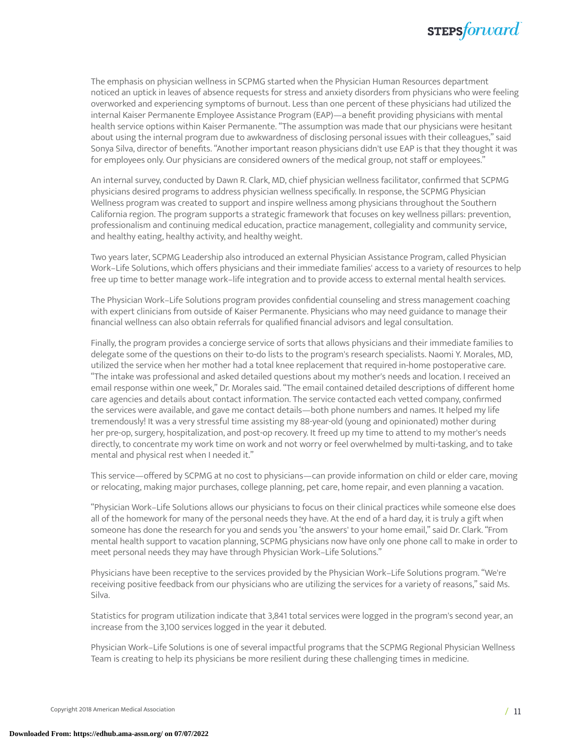

The emphasis on physician wellness in SCPMG started when the Physician Human Resources department noticed an uptick in leaves of absence requests for stress and anxiety disorders from physicians who were feeling overworked and experiencing symptoms of burnout. Less than one percent of these physicians had utilized the internal Kaiser Permanente Employee Assistance Program (EAP)—a benefit providing physicians with mental health service options within Kaiser Permanente. "The assumption was made that our physicians were hesitant about using the internal program due to awkwardness of disclosing personal issues with their colleagues," said Sonya Silva, director of benefits. "Another important reason physicians didn't use EAP is that they thought it was for employees only. Our physicians are considered owners of the medical group, not staff or employees."

An internal survey, conducted by Dawn R. Clark, MD, chief physician wellness facilitator, confirmed that SCPMG physicians desired programs to address physician wellness specifically. In response, the SCPMG Physician Wellness program was created to support and inspire wellness among physicians throughout the Southern California region. The program supports a strategic framework that focuses on key wellness pillars: prevention, professionalism and continuing medical education, practice management, collegiality and community service, and healthy eating, healthy activity, and healthy weight.

Two years later, SCPMG Leadership also introduced an external Physician Assistance Program, called Physician Work–Life Solutions, which offers physicians and their immediate families' access to a variety of resources to help free up time to better manage work–life integration and to provide access to external mental health services.

The Physician Work–Life Solutions program provides confidential counseling and stress management coaching with expert clinicians from outside of Kaiser Permanente. Physicians who may need guidance to manage their financial wellness can also obtain referrals for qualified financial advisors and legal consultation.

Finally, the program provides a concierge service of sorts that allows physicians and their immediate families to delegate some of the questions on their to-do lists to the program's research specialists. Naomi Y. Morales, MD, utilized the service when her mother had a total knee replacement that required in-home postoperative care. "The intake was professional and asked detailed questions about my mother's needs and location. I received an email response within one week," Dr. Morales said. "The email contained detailed descriptions of different home care agencies and details about contact information. The service contacted each vetted company, confirmed the services were available, and gave me contact details—both phone numbers and names. It helped my life tremendously! It was a very stressful time assisting my 88-year-old (young and opinionated) mother during her pre-op, surgery, hospitalization, and post-op recovery. It freed up my time to attend to my mother's needs directly, to concentrate my work time on work and not worry or feel overwhelmed by multi-tasking, and to take mental and physical rest when I needed it."

This service—offered by SCPMG at no cost to physicians—can provide information on child or elder care, moving or relocating, making major purchases, college planning, pet care, home repair, and even planning a vacation.

"Physician Work–Life Solutions allows our physicians to focus on their clinical practices while someone else does all of the homework for many of the personal needs they have. At the end of a hard day, it is truly a gift when someone has done the research for you and sends you 'the answers' to your home email," said Dr. Clark. "From mental health support to vacation planning, SCPMG physicians now have only one phone call to make in order to meet personal needs they may have through Physician Work–Life Solutions."

Physicians have been receptive to the services provided by the Physician Work–Life Solutions program. "We're receiving positive feedback from our physicians who are utilizing the services for a variety of reasons," said Ms. Silva.

Statistics for program utilization indicate that 3,841 total services were logged in the program's second year, an increase from the 3,100 services logged in the year it debuted.

Physician Work–Life Solutions is one of several impactful programs that the SCPMG Regional Physician Wellness Team is creating to help its physicians be more resilient during these challenging times in medicine.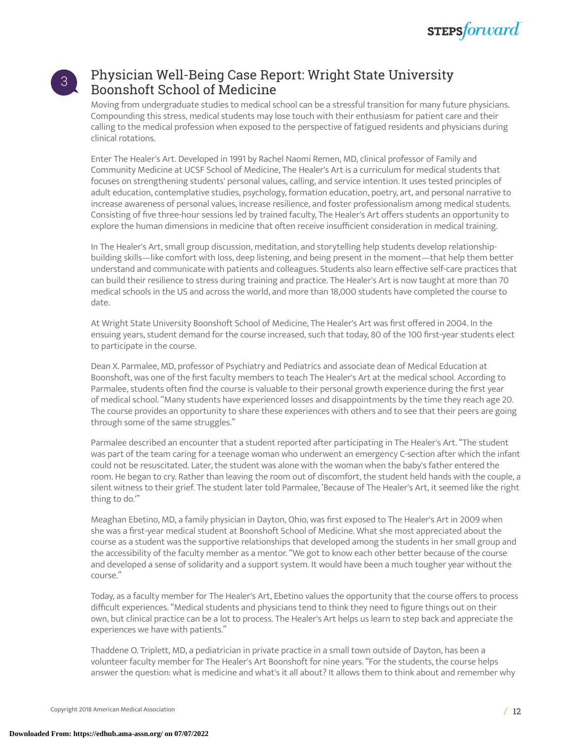

### 3

### Physician Well-Being Case Report: Wright State University Boonshoft School of Medicine

Moving from undergraduate studies to medical school can be a stressful transition for many future physicians. Compounding this stress, medical students may lose touch with their enthusiasm for patient care and their calling to the medical profession when exposed to the perspective of fatigued residents and physicians during clinical rotations.

Enter The Healer's Art. Developed in 1991 by Rachel Naomi Remen, MD, clinical professor of Family and Community Medicine at UCSF School of Medicine, The Healer's Art is a curriculum for medical students that focuses on strengthening students' personal values, calling, and service intention. It uses tested principles of adult education, contemplative studies, psychology, formation education, poetry, art, and personal narrative to increase awareness of personal values, increase resilience, and foster professionalism among medical students. Consisting of five three-hour sessions led by trained faculty, The Healer's Art offers students an opportunity to explore the human dimensions in medicine that often receive insufficient consideration in medical training.

In The Healer's Art, small group discussion, meditation, and storytelling help students develop relationshipbuilding skills—like comfort with loss, deep listening, and being present in the moment—that help them better understand and communicate with patients and colleagues. Students also learn effective self-care practices that can build their resilience to stress during training and practice. The Healer's Art is now taught at more than 70 medical schools in the US and across the world, and more than 18,000 students have completed the course to date.

At Wright State University Boonshoft School of Medicine, The Healer's Art was first offered in 2004. In the ensuing years, student demand for the course increased, such that today, 80 of the 100 first-year students elect to participate in the course.

Dean X. Parmalee, MD, professor of Psychiatry and Pediatrics and associate dean of Medical Education at Boonshoft, was one of the first faculty members to teach The Healer's Art at the medical school. According to Parmalee, students often find the course is valuable to their personal growth experience during the first year of medical school. "Many students have experienced losses and disappointments by the time they reach age 20. The course provides an opportunity to share these experiences with others and to see that their peers are going through some of the same struggles."

Parmalee described an encounter that a student reported after participating in The Healer's Art. "The student was part of the team caring for a teenage woman who underwent an emergency C-section after which the infant could not be resuscitated. Later, the student was alone with the woman when the baby's father entered the room. He began to cry. Rather than leaving the room out of discomfort, the student held hands with the couple, a silent witness to their grief. The student later told Parmalee, 'Because of The Healer's Art, it seemed like the right thing to do.'"

Meaghan Ebetino, MD, a family physician in Dayton, Ohio, was first exposed to The Healer's Art in 2009 when she was a first-year medical student at Boonshoft School of Medicine. What she most appreciated about the course as a student was the supportive relationships that developed among the students in her small group and the accessibility of the faculty member as a mentor. "We got to know each other better because of the course and developed a sense of solidarity and a support system. It would have been a much tougher year without the course."

Today, as a faculty member for The Healer's Art, Ebetino values the opportunity that the course offers to process difficult experiences. "Medical students and physicians tend to think they need to figure things out on their own, but clinical practice can be a lot to process. The Healer's Art helps us learn to step back and appreciate the experiences we have with patients."

Thaddene O. Triplett, MD, a pediatrician in private practice in a small town outside of Dayton, has been a volunteer faculty member for The Healer's Art Boonshoft for nine years. "For the students, the course helps answer the question: what is medicine and what's it all about? It allows them to think about and remember why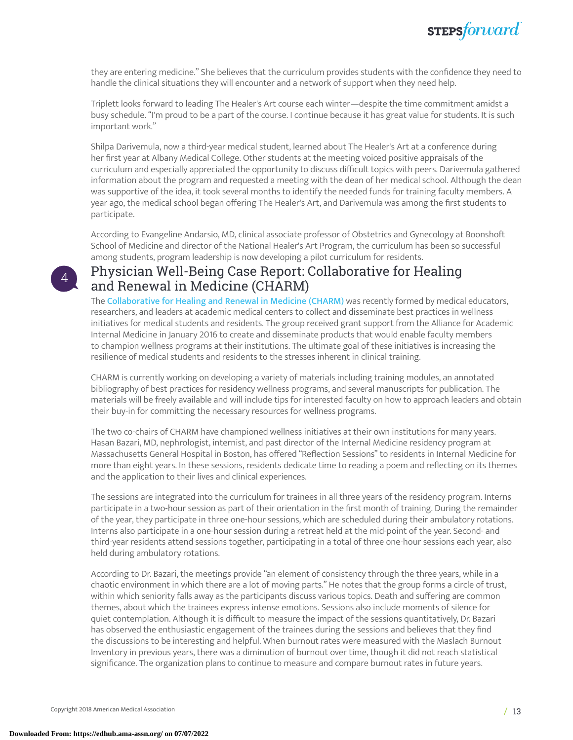

they are entering medicine." She believes that the curriculum provides students with the confidence they need to handle the clinical situations they will encounter and a network of support when they need help.

Triplett looks forward to leading The Healer's Art course each winter—despite the time commitment amidst a busy schedule. "I'm proud to be a part of the course. I continue because it has great value for students. It is such important work."

Shilpa Darivemula, now a third-year medical student, learned about The Healer's Art at a conference during her first year at Albany Medical College. Other students at the meeting voiced positive appraisals of the curriculum and especially appreciated the opportunity to discuss difficult topics with peers. Darivemula gathered information about the program and requested a meeting with the dean of her medical school. Although the dean was supportive of the idea, it took several months to identify the needed funds for training faculty members. A year ago, the medical school began offering The Healer's Art, and Darivemula was among the first students to participate.

According to Evangeline Andarsio, MD, clinical associate professor of Obstetrics and Gynecology at Boonshoft School of Medicine and director of the National Healer's Art Program, the curriculum has been so successful among students, program leadership is now developing a pilot curriculum for residents.

### Physician Well-Being Case Report: Collaborative for Healing and Renewal in Medicine (CHARM)

The [Collaborative](http://www.im.org/p/cm/ld/fid=1403) for Healing and Renewal in Medicine (CHARM) was recently formed by medical educators, researchers, and leaders at academic medical centers to collect and disseminate best practices in wellness initiatives for medical students and residents. The group received grant support from the Alliance for Academic Internal Medicine in January 2016 to create and disseminate products that would enable faculty members to champion wellness programs at their institutions. The ultimate goal of these initiatives is increasing the resilience of medical students and residents to the stresses inherent in clinical training.

CHARM is currently working on developing a variety of materials including training modules, an annotated bibliography of best practices for residency wellness programs, and several manuscripts for publication. The materials will be freely available and will include tips for interested faculty on how to approach leaders and obtain their buy-in for committing the necessary resources for wellness programs.

The two co-chairs of CHARM have championed wellness initiatives at their own institutions for many years. Hasan Bazari, MD, nephrologist, internist, and past director of the Internal Medicine residency program at Massachusetts General Hospital in Boston, has offered "Reflection Sessions" to residents in Internal Medicine for more than eight years. In these sessions, residents dedicate time to reading a poem and reflecting on its themes and the application to their lives and clinical experiences.

The sessions are integrated into the curriculum for trainees in all three years of the residency program. Interns participate in a two-hour session as part of their orientation in the first month of training. During the remainder of the year, they participate in three one-hour sessions, which are scheduled during their ambulatory rotations. Interns also participate in a one-hour session during a retreat held at the mid-point of the year. Second- and third-year residents attend sessions together, participating in a total of three one-hour sessions each year, also held during ambulatory rotations.

According to Dr. Bazari, the meetings provide "an element of consistency through the three years, while in a chaotic environment in which there are a lot of moving parts." He notes that the group forms a circle of trust, within which seniority falls away as the participants discuss various topics. Death and suffering are common themes, about which the trainees express intense emotions. Sessions also include moments of silence for quiet contemplation. Although it is difficult to measure the impact of the sessions quantitatively, Dr. Bazari has observed the enthusiastic engagement of the trainees during the sessions and believes that they find the discussions to be interesting and helpful. When burnout rates were measured with the Maslach Burnout Inventory in previous years, there was a diminution of burnout over time, though it did not reach statistical significance. The organization plans to continue to measure and compare burnout rates in future years.

4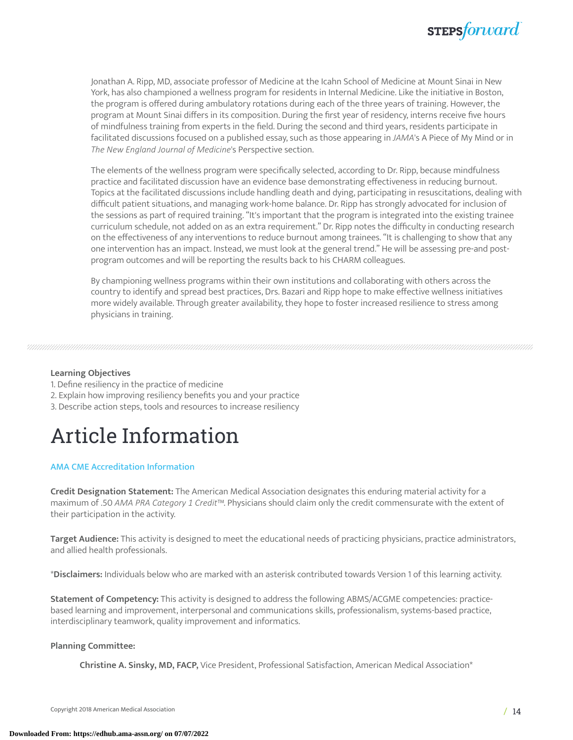

Jonathan A. Ripp, MD, associate professor of Medicine at the Icahn School of Medicine at Mount Sinai in New York, has also championed a wellness program for residents in Internal Medicine. Like the initiative in Boston, the program is offered during ambulatory rotations during each of the three years of training. However, the program at Mount Sinai differs in its composition. During the first year of residency, interns receive five hours of mindfulness training from experts in the field. During the second and third years, residents participate in facilitated discussions focused on a published essay, such as those appearing in *JAMA*'s A Piece of My Mind or in *The New England Journal of Medicine*'s Perspective section.

The elements of the wellness program were specifically selected, according to Dr. Ripp, because mindfulness practice and facilitated discussion have an evidence base demonstrating effectiveness in reducing burnout. Topics at the facilitated discussions include handling death and dying, participating in resuscitations, dealing with difficult patient situations, and managing work-home balance. Dr. Ripp has strongly advocated for inclusion of the sessions as part of required training. "It's important that the program is integrated into the existing trainee curriculum schedule, not added on as an extra requirement." Dr. Ripp notes the difficulty in conducting research on the effectiveness of any interventions to reduce burnout among trainees. "It is challenging to show that any one intervention has an impact. Instead, we must look at the general trend." He will be assessing pre-and postprogram outcomes and will be reporting the results back to his CHARM colleagues.

By championing wellness programs within their own institutions and collaborating with others across the country to identify and spread best practices, Drs. Bazari and Ripp hope to make effective wellness initiatives more widely available. Through greater availability, they hope to foster increased resilience to stress among physicians in training.

#### **Learning Objectives**

- 1. Define resiliency in the practice of medicine
- 2. Explain how improving resiliency benefits you and your practice
- 3. Describe action steps, tools and resources to increase resiliency

# Article Information

### AMA CME [Accreditation](https://edhub.ama-assn.org/pages/ama-cme) Information

**Credit Designation Statement:** The American Medical Association designates this enduring material activity for a maximum of .50 *AMA PRA Category 1 Credit*™. Physicians should claim only the credit commensurate with the extent of their participation in the activity.

**Target Audience:** This activity is designed to meet the educational needs of practicing physicians, practice administrators, and allied health professionals.

\***Disclaimers:** Individuals below who are marked with an asterisk contributed towards Version 1 of this learning activity.

**Statement of Competency:** This activity is designed to address the following ABMS/ACGME competencies: practicebased learning and improvement, interpersonal and communications skills, professionalism, systems-based practice, interdisciplinary teamwork, quality improvement and informatics.

#### **Planning Committee:**

**Christine A. Sinsky, MD, FACP,** Vice President, Professional Satisfaction, American Medical Association\*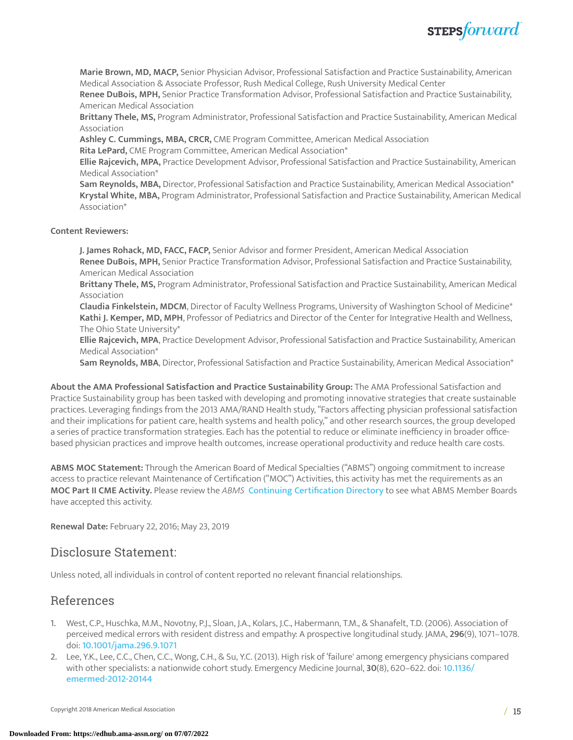

**Marie Brown, MD, MACP,** Senior Physician Advisor, Professional Satisfaction and Practice Sustainability, American Medical Association & Associate Professor, Rush Medical College, Rush University Medical Center

**Renee DuBois, MPH,** Senior Practice Transformation Advisor, Professional Satisfaction and Practice Sustainability, American Medical Association

**Brittany Thele, MS,** Program Administrator, Professional Satisfaction and Practice Sustainability, American Medical Association

**Ashley C. Cummings, MBA, CRCR,** CME Program Committee, American Medical Association

**Rita LePard,** CME Program Committee, American Medical Association\*

**Ellie Rajcevich, MPA,** Practice Development Advisor, Professional Satisfaction and Practice Sustainability, American Medical Association\*

**Sam Reynolds, MBA,** Director, Professional Satisfaction and Practice Sustainability, American Medical Association\* **Krystal White, MBA,** Program Administrator, Professional Satisfaction and Practice Sustainability, American Medical Association\*

**Content Reviewers:**

**J. James Rohack, MD, FACC, FACP,** Senior Advisor and former President, American Medical Association **Renee DuBois, MPH,** Senior Practice Transformation Advisor, Professional Satisfaction and Practice Sustainability, American Medical Association

**Brittany Thele, MS,** Program Administrator, Professional Satisfaction and Practice Sustainability, American Medical Association

**Claudia Finkelstein, MDCM**, Director of Faculty Wellness Programs, University of Washington School of Medicine\* **Kathi J. Kemper, MD, MPH**, Professor of Pediatrics and Director of the Center for Integrative Health and Wellness, The Ohio State University\*

**Ellie Rajcevich, MPA**, Practice Development Advisor, Professional Satisfaction and Practice Sustainability, American Medical Association\*

**Sam Reynolds, MBA**, Director, Professional Satisfaction and Practice Sustainability, American Medical Association\*

**About the AMA Professional Satisfaction and Practice Sustainability Group:** The AMA Professional Satisfaction and Practice Sustainability group has been tasked with developing and promoting innovative strategies that create sustainable practices. Leveraging findings from the 2013 AMA/RAND Health study, "Factors affecting physician professional satisfaction and their implications for patient care, health systems and health policy," and other research sources, the group developed a series of practice transformation strategies. Each has the potential to reduce or eliminate inefficiency in broader officebased physician practices and improve health outcomes, increase operational productivity and reduce health care costs.

**ABMS MOC Statement:** Through the American Board of Medical Specialties ("ABMS") ongoing commitment to increase access to practice relevant Maintenance of Certification ("MOC") Activities, this activity has met the requirements as an **MOC Part II CME Activity.** Please review the *ABMS* Continuing [Certification](https://www.continuingcertification.org/activity-search/?search_moc=American+Medical+Association) Directory to see what ABMS Member Boards have accepted this activity.

**Renewal Date:** February 22, 2016; May 23, 2019

### Disclosure Statement:

Unless noted, all individuals in control of content reported no relevant financial relationships.

### References

- 1. West, C.P., Huschka, M.M., Novotny, P.J., Sloan, J.A., Kolars, J.C., Habermann, T.M., & Shanafelt, T.D. (2006). Association of perceived medical errors with resident distress and empathy: A prospective longitudinal study. JAMA, **296**(9), 1071–1078. doi: <10.1001/jama.296.9.1071>
- 2. Lee, Y.K., Lee, C.C., Chen, C.C., Wong, C.H., & Su, Y.C. (2013). High risk of 'failure' among emergency physicians compared with other specialists: a nationwide cohort study. Emergency Medicine Journal, **30**(8), 620–622. doi: [10.1136/](10.1136/emermed-2012-20144) [emermed-2012-20144](10.1136/emermed-2012-20144)

Copyright 2018 American Medical Association / 15